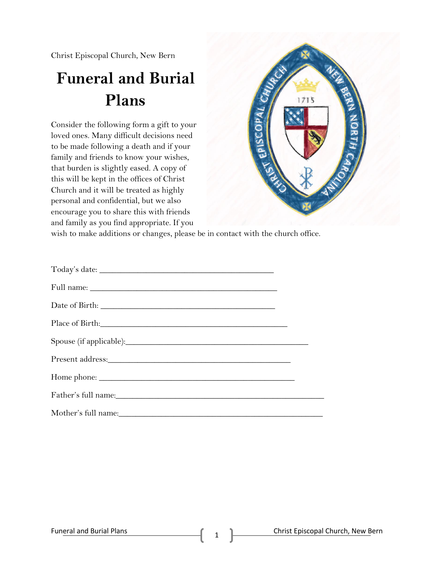Christ Episcopal Church, New Bern

## **Funeral and Burial Plans**

Consider the following form a gift to your loved ones. Many difficult decisions need to be made following a death and if your family and friends to know your wishes, that burden is slightly eased. A copy of this will be kept in the offices of Christ Church and it will be treated as highly personal and confidential, but we also encourage you to share this with friends and family as you find appropriate. If you



wish to make additions or changes, please be in contact with the church office.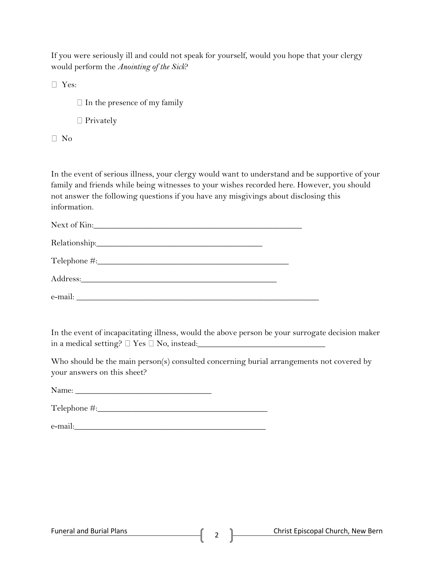If you were seriously ill and could not speak for yourself, would you hope that your clergy would perform the *Anointing of the Sick*?

Yes:

 $\Box$  In the presence of my family

□ Privately

 $\Box$  No

In the event of serious illness, your clergy would want to understand and be supportive of your family and friends while being witnesses to your wishes recorded here. However, you should not answer the following questions if you have any misgivings about disclosing this information.

| Next of Kin:                                                           |  |
|------------------------------------------------------------------------|--|
|                                                                        |  |
| $\begin{tabular}{c} Telephone \texttt{\#:}\footnotesize \end{tabular}$ |  |
|                                                                        |  |
|                                                                        |  |

In the event of incapacitating illness, would the above person be your surrogate decision maker in a medical setting?  $\Box$  Yes  $\Box$  No, instead:

Who should be the main person(s) consulted concerning burial arrangements not covered by your answers on this sheet?

Name: \_\_\_\_\_\_\_\_\_\_\_\_\_\_\_\_\_\_\_\_\_\_\_\_\_\_\_\_\_\_\_\_

Telephone #:

e-mail: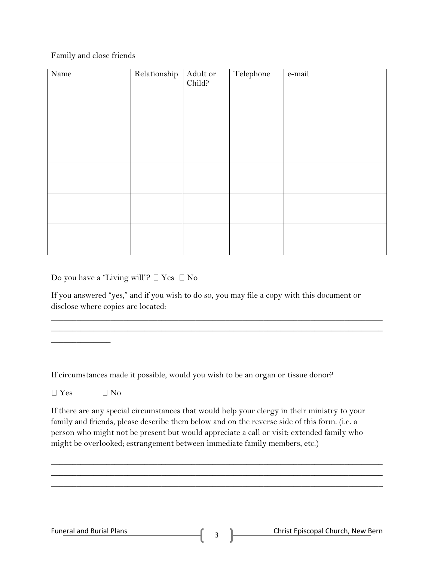Family and close friends

| Name | Relationship | Adult or<br>Child? | Telephone | e-mail |
|------|--------------|--------------------|-----------|--------|
|      |              |                    |           |        |
|      |              |                    |           |        |
|      |              |                    |           |        |
|      |              |                    |           |        |
|      |              |                    |           |        |

Do you have a "Living will"?  $\Box$  Yes  $\Box$  No

If you answered "yes," and if you wish to do so, you may file a copy with this document or disclose where copies are located:

\_\_\_\_\_\_\_\_\_\_\_\_\_\_\_\_\_\_\_\_\_\_\_\_\_\_\_\_\_\_\_\_\_\_\_\_\_\_\_\_\_\_\_\_\_\_\_\_\_\_\_\_\_\_\_\_\_\_\_\_\_\_\_\_\_\_\_\_\_\_\_\_\_\_\_\_\_\_ \_\_\_\_\_\_\_\_\_\_\_\_\_\_\_\_\_\_\_\_\_\_\_\_\_\_\_\_\_\_\_\_\_\_\_\_\_\_\_\_\_\_\_\_\_\_\_\_\_\_\_\_\_\_\_\_\_\_\_\_\_\_\_\_\_\_\_\_\_\_\_\_\_\_\_\_\_\_

If circumstances made it possible, would you wish to be an organ or tissue donor?

 $\Box$  Yes  $\Box$  No

 $\overline{\phantom{a}}$  , where  $\overline{\phantom{a}}$ 

If there are any special circumstances that would help your clergy in their ministry to your family and friends, please describe them below and on the reverse side of this form. (i.e. a person who might not be present but would appreciate a call or visit; extended family who might be overlooked; estrangement between immediate family members, etc.)

\_\_\_\_\_\_\_\_\_\_\_\_\_\_\_\_\_\_\_\_\_\_\_\_\_\_\_\_\_\_\_\_\_\_\_\_\_\_\_\_\_\_\_\_\_\_\_\_\_\_\_\_\_\_\_\_\_\_\_\_\_\_\_\_\_\_\_\_\_\_\_\_\_\_\_\_\_\_ \_\_\_\_\_\_\_\_\_\_\_\_\_\_\_\_\_\_\_\_\_\_\_\_\_\_\_\_\_\_\_\_\_\_\_\_\_\_\_\_\_\_\_\_\_\_\_\_\_\_\_\_\_\_\_\_\_\_\_\_\_\_\_\_\_\_\_\_\_\_\_\_\_\_\_\_\_\_ \_\_\_\_\_\_\_\_\_\_\_\_\_\_\_\_\_\_\_\_\_\_\_\_\_\_\_\_\_\_\_\_\_\_\_\_\_\_\_\_\_\_\_\_\_\_\_\_\_\_\_\_\_\_\_\_\_\_\_\_\_\_\_\_\_\_\_\_\_\_\_\_\_\_\_\_\_\_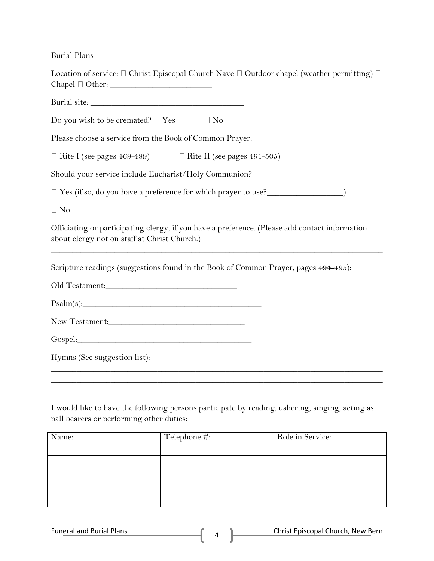Burial Plans

| $Chapel \square Other:$                                                                                                                        |              | Location of service: $\Box$ Christ Episcopal Church Nave $\Box$ Outdoor chapel (weather permitting) $\Box$ |
|------------------------------------------------------------------------------------------------------------------------------------------------|--------------|------------------------------------------------------------------------------------------------------------|
|                                                                                                                                                |              |                                                                                                            |
| Do you wish to be cremated? $\square$ Yes                                                                                                      | $\Box$ No    |                                                                                                            |
| Please choose a service from the Book of Common Prayer:                                                                                        |              |                                                                                                            |
| $\Box$ Rite I (see pages 469-489) $\Box$ Rite II (see pages 491-505)                                                                           |              |                                                                                                            |
| Should your service include Eucharist/Holy Communion?                                                                                          |              |                                                                                                            |
| □ Yes (if so, do you have a preference for which prayer to use?<br>□ Yes (if so, do you have a preference for which prayer to use?             |              |                                                                                                            |
| $\Box$ No                                                                                                                                      |              |                                                                                                            |
| Officiating or participating clergy, if you have a preference. (Please add contact information<br>about clergy not on staff at Christ Church.) |              |                                                                                                            |
| Scripture readings (suggestions found in the Book of Common Prayer, pages 494-495):                                                            |              |                                                                                                            |
|                                                                                                                                                |              |                                                                                                            |
| Psalm(s):                                                                                                                                      |              |                                                                                                            |
|                                                                                                                                                |              |                                                                                                            |
|                                                                                                                                                |              |                                                                                                            |
| Hymns (See suggestion list):                                                                                                                   |              |                                                                                                            |
|                                                                                                                                                |              |                                                                                                            |
| pall bearers or performing other duties:                                                                                                       |              | I would like to have the following persons participate by reading, ushering, singing, acting as            |
| Name:                                                                                                                                          | Telephone #: | Role in Service:                                                                                           |
|                                                                                                                                                |              |                                                                                                            |

| _______ |  |
|---------|--|
|         |  |
|         |  |
|         |  |
|         |  |
|         |  |